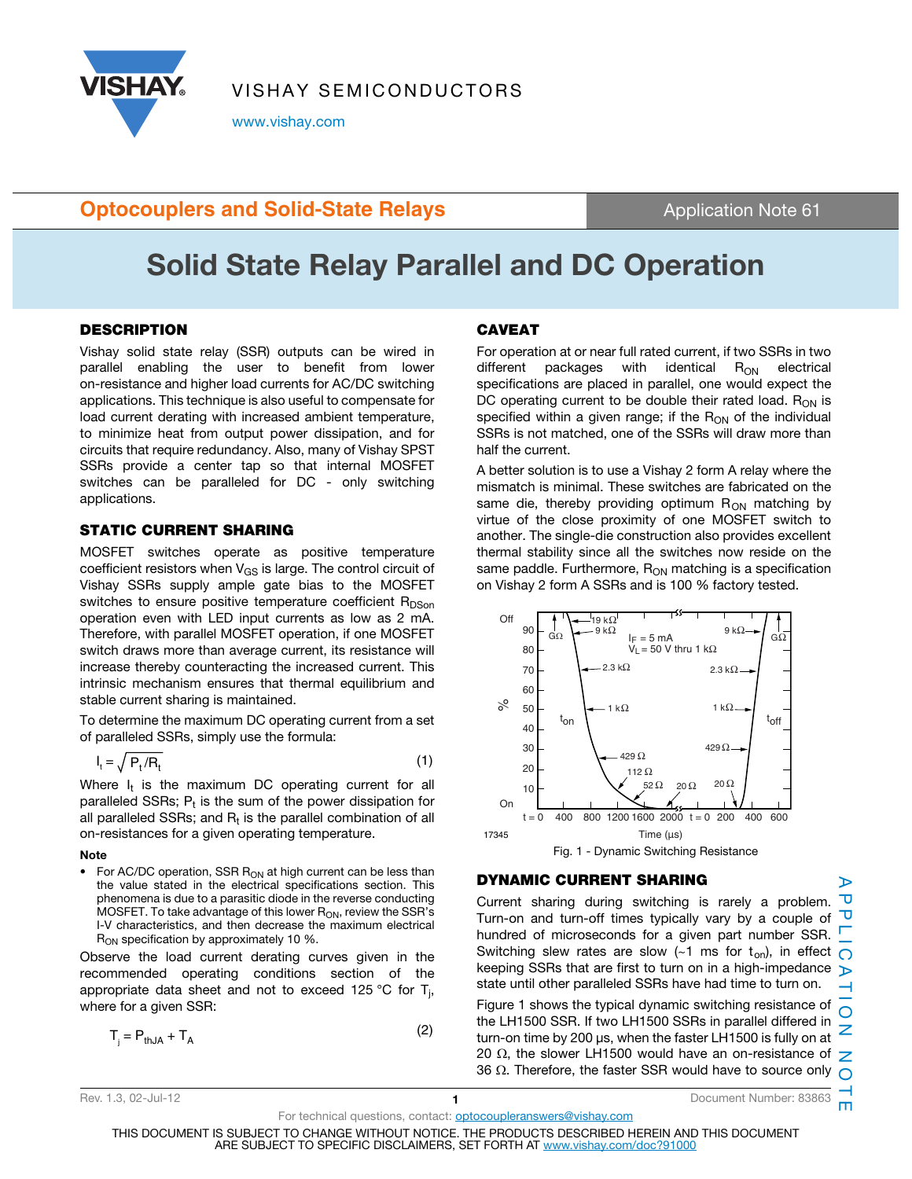

VISHAY SEMICONDUCTORS

www.vishay.com

### **Optocouplers and Solid-State Relays Application Note 61 Application Note 61**

# Solid State Relay Parallel and DC Operation

#### **DESCRIPTION**

Vishay solid state relay (SSR) outputs can be wired in parallel enabling the user to benefit from lower on-resistance and higher load currents for AC/DC switching applications. This technique is also useful to compensate for load current derating with increased ambient temperature, to minimize heat from output power dissipation, and for circuits that require redundancy. Also, many of Vishay SPST SSRs provide a center tap so that internal MOSFET switches can be paralleled for DC - only switching applications.

#### STATIC CURRENT SHARING

MOSFET switches operate as positive temperature coefficient resistors when  $V_{GS}$  is large. The control circuit of Vishay SSRs supply ample gate bias to the MOSFET switches to ensure positive temperature coefficient  $R_{DSon}$ operation even with LED input currents as low as 2 mA. Therefore, with parallel MOSFET operation, if one MOSFET switch draws more than average current, its resistance will increase thereby counteracting the increased current. This intrinsic mechanism ensures that thermal equilibrium and stable current sharing is maintained.

To determine the maximum DC operating current from a set of paralleled SSRs, simply use the formula:

$$
I_t = \sqrt{P_t / R_t} \tag{1}
$$

Where  $I_t$  is the maximum DC operating current for all paralleled SSRs;  $P_t$  is the sum of the power dissipation for all paralleled SSRs; and  $R_t$  is the parallel combination of all on-resistances for a given operating temperature.

#### **Note**

For AC/DC operation, SSR  $R_{ON}$  at high current can be less than the value stated in the electrical specifications section. This phenomena is due to a parasitic diode in the reverse conducting MOSFET. To take advantage of this lower  $R_{ON}$ , review the SSR's I-V characteristics, and then decrease the maximum electrical R<sub>ON</sub> specification by approximately 10 %.

Observe the load current derating curves given in the recommended operating conditions section of the appropriate data sheet and not to exceed 125 °C for T<sub>j</sub>, where for a given SSR:

$$
T_i = P_{thJA} + T_A \tag{2}
$$

### CAVEAT

For operation at or near full rated current, if two SSRs in two different packages with identical  $R_{ON}$  electrical specifications are placed in parallel, one would expect the DC operating current to be double their rated load.  $R_{ON}$  is specified within a given range; if the  $R_{ON}$  of the individual SSRs is not matched, one of the SSRs will draw more than half the current.

A better solution is to use a Vishay 2 form A relay where the mismatch is minimal. These switches are fabricated on the same die, thereby providing optimum  $R_{ON}$  matching by virtue of the close proximity of one MOSFET switch to another. The single-die construction also provides excellent thermal stability since all the switches now reside on the same paddle. Furthermore,  $R_{ON}$  matching is a specification on Vishay 2 form A SSRs and is 100 % factory tested.



### DYNAMIC CURRENT SHARING

APPLICATION NOTE  $\mathbf{\overline{U}}$ Current sharing during switching is rarely a problem. ᠊ᠣ Turn-on and turn-off times typically vary by a couple of hundred of microseconds for a given part number SSR. Switching slew rates are slow (~1 ms for  $t_{on}$ ), in effect  $\bigcap$ keeping SSRs that are first to turn on in a high-impedance  $\triangleright$ state until other paralleled SSRs have had time to turn on.  $\rightarrow$ Figure 1 shows the typical dynamic switching resistance of  $\Omega$ the LH1500 SSR. If two LH1500 SSRs in parallel differed in Z turn-on time by 200 μs, when the faster LH1500 is fully on at 20  $\Omega$ , the slower LH1500 would have an on-resistance of  $Z$ 36  $\Omega$ . Therefore, the faster SSR would have to source only  $\Omega$ 

For technical questions, contact: **optocoupleranswers@vishay.com** 

ኈ

m